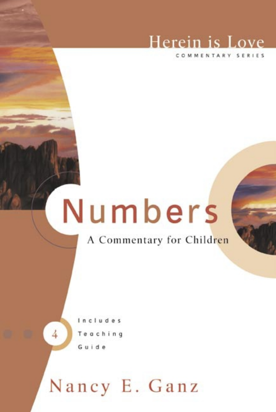

COMMENTARY SERIES

# Numbers

### A Commentary for Children

Includes Teaching Guide

 $\overline{4}$ 

Nancy E. Ganz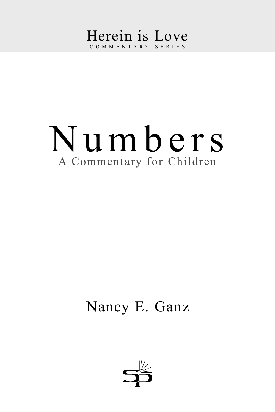#### Herein is Love C O M M E N T A R Y S E R I E S

## N u m b e r s A Commentary for Children

### Nancy E. Ganz

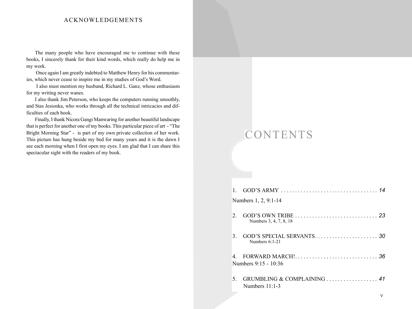#### *ACKNOWLEDGEMENTS*

The many people who have encouraged me to continue with these books, I sincerely thank for their kind words, which really do help me in my work.

 Once again I am greatly indebted to Matthew Henry for his commentaries, which never cease to inspire me in my studies of God's Word.

 I also must mention my husband, Richard L. Ganz, whose enthusiasm for my writing never wanes.

I also thank Jim Peterson, who keeps the computers running smoothly, and Stas Jesionka, who works through all the technical intricacies and difficulties of each book.

Finally, I thank Nicora Gangi Manwaring for another beautiful landscape that is perfect for another one of my books. This particular piece of art - "The Bright Morning Star" - is part of my own private collection of her work. This picture has hung beside my bed for many years and it is the dawn I see each morning when I first open my eyes. I am glad that I can share this spectacular sight with the readers of my book.

### **CONTENTS**

|    | Numbers 1, 2, 9:1-14                            |  |
|----|-------------------------------------------------|--|
|    | Numbers 3, 4, 7, 8, 18                          |  |
| 3. | Numbers $6:1-21$                                |  |
|    | Numbers 9:15 - 10:36                            |  |
| 5. | GRUMBLING & COMPLAINING  41<br>Numbers $11:1-3$ |  |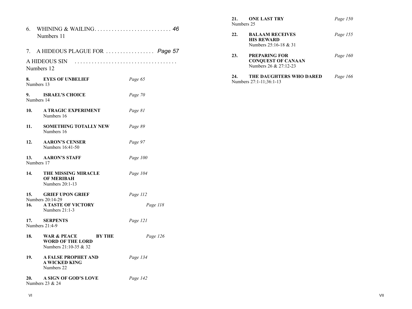|                                 | Numbers 11                                                                           |          |  |
|---------------------------------|--------------------------------------------------------------------------------------|----------|--|
|                                 | 7. A HIDEOUS PLAGUE FOR  Page 57                                                     |          |  |
| Numbers 12                      |                                                                                      |          |  |
| Numbers 13                      | 8. EYES OF UNBELIEF                                                                  | Page 65  |  |
| Numbers 14                      | 9. ISRAEL'S CHOICE                                                                   | Page 70  |  |
|                                 | 10. A TRAGIC EXPERIMENT<br>Numbers 16                                                | Page 81  |  |
|                                 | 11. SOMETHING TOTALLY NEW<br>Numbers 16                                              | Page 89  |  |
|                                 | 12. AARON'S CENSER<br>Numbers 16:41-50                                               | Page 97  |  |
| 13. AARON'S STAFF<br>Numbers 17 |                                                                                      | Page 100 |  |
|                                 | 14. THE MISSING MIRACLE<br><b>OF MERIBAH</b><br>Numbers 20:1-13                      | Page 104 |  |
|                                 | 15. GRIEF UPON GRIEF                                                                 | Page 112 |  |
|                                 | Numbers 20:14-29<br>16. A TASTE OF VICTORY<br>Numbers 21:1-3                         | Page 118 |  |
|                                 | 17. SERPENTS<br>Numbers 21:4-9                                                       | Page 121 |  |
|                                 | 18. WAR & PEACE<br><b>BY THE</b><br><b>WORD OF THE LORD</b><br>Numbers 21:10-35 & 32 | Page 126 |  |
| 19.                             | A FALSE PROPHET AND<br><b>A WICKED KING</b><br>Numbers 22                            | Page 134 |  |
| 20.                             | A SIGN OF GOD'S LOVE<br>Numbers 23 & 24                                              | Page 142 |  |

| 21.<br>Numbers 25 | <b>ONE LAST TRY</b>                                                        | Page 150 |
|-------------------|----------------------------------------------------------------------------|----------|
| 22.               | <b>BALAAM RECEIVES</b><br><b>HIS REWARD</b><br>Numbers 25:16-18 & 31       | Page 155 |
| 23.               | <b>PREPARING FOR</b><br><b>CONQUEST OF CANAAN</b><br>Numbers 26 & 27:12-23 | Page 160 |
| 24.               | THE DAUGHTERS WHO DARED<br>Numbers 27:1-11;36:1-13                         | Page 166 |
|                   |                                                                            |          |
|                   |                                                                            |          |
|                   |                                                                            |          |
|                   |                                                                            |          |
|                   |                                                                            |          |
|                   |                                                                            |          |
|                   |                                                                            |          |
|                   |                                                                            |          |
|                   |                                                                            |          |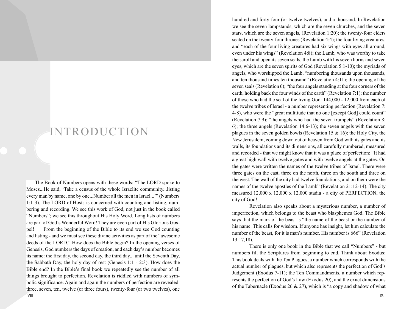### INTRODUCTION

VIII IX The Book of Numbers opens with these words: "The LORD spoke to Moses...He said, 'Take a census of the whole Israelite community...listing every man by name, one by one...Number all the men in Israel...'" (Numbers 1:1-3). The LORD of Hosts is concerned with counting and listing, numbering and recording. We see this work of God, not just in the book called "Numbers"; we see this throughout His Holy Word. Long lists of numbers are part of God's Wonderful Word! They are even part of His Glorious Gospel! From the beginning of the Bible to its end we see God counting and listing - and we must see these divine activities as part of the "awesome deeds of the LORD." How does the Bible begin? In the opening verses of Genesis, God numbers the days of creation, and each day's number becomes its name: the first day, the second day, the third day... until the Seventh Day, the Sabbath Day, the holy day of rest (Genesis 1:1 - 2:3). How does the Bible end? In the Bible's final book we repeatedly see the number of all things brought to perfection. Revelation is riddled with numbers of symbolic significance. Again and again the numbers of perfection are revealed: three, seven, ten, twelve (or three fours), twenty-four (or two twelves), one

hundred and forty-four (or twelve twelves), and a thousand. In Revelation we see the seven lampstands, which are the seven churches, and the seven stars, which are the seven angels, (Revelation 1:20); the twenty-four elders seated on the twenty-four thrones (Revelation 4:4); the four living creatures, and "each of the four living creatures had six wings with eyes all around, even under his wings" (Revelation 4:8); the Lamb, who was worthy to take the scroll and open its seven seals, the Lamb with his seven horns and seven eyes, which are the seven spirits of God (Revelation 5:1-10); the myriads of angels, who worshipped the Lamb, "numbering thousands upon thousands, and ten thousand times ten thousand" (Revelation 4:11); the opening of the seven seals (Revelation 6); "the four angels standing at the four corners of the earth, holding back the four winds of the earth" (Revelation 7:1); the number of those who had the seal of the living God: 144,000 - 12,000 from each of the twelve tribes of Israel - a number representing perfection (Revelation 7: 4-8), who were the "great multitude that no one [except God] could count" (Revelation 7:9); "the angels who had the seven trumpets" (Revelation 8: 6); the three angels (Revelation 14:6-13); the seven angels with the seven plagues in the seven golden bowls (Revelation 15  $\&$  16); the Holy City, the New Jerusalem, coming down out of heaven from God with its gates and its walls, its foundations and its dimensions, all carefully numbered, measured and recorded - that we might know that it was a place of perfection: "It had a great high wall with twelve gates and with twelve angels at the gates. On the gates were written the names of the twelve tribes of Israel. There were three gates on the east, three on the north, three on the south and three on the west. The wall of the city had twelve foundations, and on them were the names of the twelve apostles of the Lamb" (Revelation 21:12-14). The city measured 12,000 x 12,000 x 12,000 stadia - a city of PERFECTION, the city of God!

Revelation also speaks about a mysterious number, a number of imperfection, which belongs to the beast who blasphemes God. The Bible says that the mark of the beast is "the name of the beast or the number of his name. This calls for wisdom. If anyone has insight, let him calculate the number of the beast, for it is man's number. His number is 666" (Revelation 13:17,18).

There is only one book in the Bible that we call "Numbers" - but numbers fill the Scriptures from beginning to end. Think about Exodus: This book deals with the Ten Plagues, a number which corresponds with the actual number of plagues, but which also represents the perfection of God's Judgement (Exodus 7-11); the Ten Commandments, a number which represents the perfection of God's Law (Exodus 20); and the exact dimensions of the Tabernacle (Exodus 26  $& 27$ ), which is "a copy and shadow of what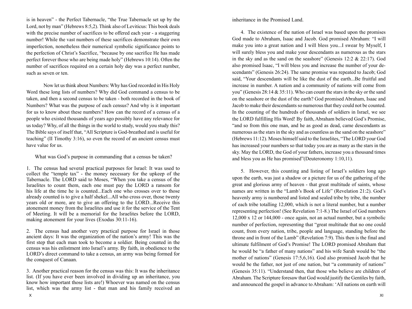is in heaven" - the Perfect Tabernacle, "the True Tabernacle set up by the Lord, not by man" (Hebrews 8:5,2). Think also of Leviticus: This book deals with the precise number of sacrifices to be offered each year - a staggering number! While the vast numbers of these sacrifices demonstrate their own imperfection, nonetheless their numerical symbolic significance points to the perfection of Christ's Sacrifice, "because by one sacrifice He has made perfect forever those who are being made holy" (Hebrews 10:14). Often the number of sacrifices required on a certain holy day was a perfect number, such as seven or ten.

 Now let us think about Numbers: Why has God recorded in His Holy Word these long lists of numbers? Why did God command a census to be taken, and then a second census to be taken - both recorded in the book of Numbers? What was the purpose of each census? And why is it important for us to know about these numbers? How can the record of a census of a people who existed thousands of years ago possibly have any relevance for us today? Why, of all the things in the world to study, would you study this? The Bible says of itself that, "All Scripture is God-breathed and is useful for teaching" (II Timothy 3:16), so even the record of an ancient census must have value for us.

What was God's purpose in commanding that a census be taken?

1. The census had several practical purposes for Israel: It was used to collect the "temple tax" - the money necessary for the upkeep of the Tabernacle. The LORD said to Moses, "When you take a census of the Israelites to count them, each one must pay the LORD a ransom for his life at the time he is counted...Each one who crosses over to those already counted is to give a half shekel...All who cross over, those twenty years old or more, are to give an offering to the LORD...Receive this atonement money from the Israelites and use it for the service of the Tent of Meeting. It will be a memorial for the Israelites before the LORD, making atonement for your lives (Exodus 30:11-16).

2. The census had another very practical purpose for Israel in those ancient days: It was the organization of the nation's army! This was the first step that each man took to become a soldier. Being counted in the census was his enlistment into Israel's army. By faith, in obedience to the LORD's direct command to take a census, an army was being formed for the conquest of Canaan.

3. Another practical reason for the census was this: It was the inheritance list. (If you have ever been involved in dividing up an inheritance, you know how important those lists are!) Whoever was named on the census list, which was the army list - that man and his family received an

#### inheritance in the Promised Land.

4. The existence of the nation of Israel was based upon the promises God made to Abraham, Isaac and Jacob. God promised Abraham: "I will make you into a great nation and I will bless you...I swear by Myself, I will surely bless you and make your descendants as numerous as the stars in the sky and as the sand on the seashore" (Genesis  $12:2 \& 22:17$ ). God also promised Isaac, "I will bless you and increase the number of your descendants" (Genesis 26:24). The same promise was repeated to Jacob; God said, "Your descendants will be like the dust of the earth...Be fruitful and increase in number. A nation and a community of nations will come from you" (Genesis 28:14 & 35:11). Who can count the stars in the sky or the sand on the seashore or the dust of the earth? God promised Abraham, Isaac and Jacob to make their descendants so numerous that they could not be counted. In the counting of the hundreds of thousands of soldiers in Israel, we see the LORD fulfilling His Word! By faith, Abraham believed God's Promise, "and so from this one man, and he as good as dead, came descendants as numerous as the stars in the sky and as countless as the sand on the seashore" (Hebrews 11:12). Moses himself said to the Israelites, "The LORD your God has increased your numbers so that today you are as many as the stars in the sky. May the LORD, the God of your fathers, increase you a thousand times and bless you as He has promised"(Deuteronomy 1:10,11).

5. However, this counting and listing of Israel's soldiers long ago upon the earth, was just a shadow or a picture for us of the gathering of the great and glorious army of heaven - that great multitude of saints, whose names are written in the "Lamb's Book of Life" (Revelation 21:2). God's heavenly army is numbered and listed and sealed tribe by tribe, the number of each tribe totalling 12,000, which is not a literal number, but a number representing perfection! (See Revelation 7:1-8.) The Israel of God numbers 12,000 x 12 or 144,000 - once again, not an actual number, but a symbolic number of perfection, representing that "great multitude that no one could count, from every nation, tribe, people and language, standing before the throne and in front of the Lamb" (Revelation 7:9). This then is the final and ultimate fulfilment of God's Promise! The LORD promised Abraham that he would be "a father of many nations" and his wife Sarah would be "the mother of nations" (Genesis 17:5,6,16). God also promised Jacob that he would be the father, not just of one nation, but "a community of nations" (Genesis 35:11). "Understand then, that those who believe are children of Abraham. The Scripture foresaw that God would justify the Gentiles by faith, and announced the gospel in advance to Abraham: 'All nations on earth will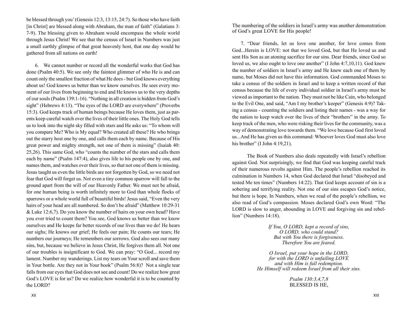be blessed through you' (Genesis 12:3, 13:15, 24:7). So those who have faith [in Christ] are blessed along with Abraham, the man of faith" (Galatians 3: 7-9). The blessing given to Abraham would encompass the whole world through Jesus Christ! We see that the census of Israel in Numbers was just a small earthly glimpse of that great heavenly host, that one day would be gathered from all nations on earth!

6. We cannot number or record all the wonderful works that God has done (Psalm 40:5). We see only the faintest glimmer of who He is and can count only the smallest fraction of what He does - but God knows everything about us! God knows us better than we know ourselves. He sees every moment of our lives from beginning to end and He knows us to the very depths of our souls (Psalm 139:1-16). "Nothing in all creation is hidden from God's sight" (Hebrews 4:13). "The eyes of the LORD are everywhere" (Proverbs 15:3). God keeps track of human beings because He loves them, just as parents keep careful watch over the lives of their little ones. The Holy God tells us to look into the night sky filled with stars and He asks us: "To whom will you compare Me? Who is My equal? Who created all these? He who brings out the starry host one by one, and calls them each by name. Because of His great power and mighty strength, not one of them is missing" (Isaiah 40: 25,26). This same God, who "counts the number of the stars and calls them each by name" (Psalm 147:4), also gives life to his people one by one, and names them, and watches over their lives, so that not one of them is missing. Jesus taught us even the little birds are not forgotten by God, so we need not fear that God will forget us. Not even a tiny common sparrow will fall to the ground apart from the will of our Heavenly Father. We must not be afraid, for one human being is worth infinitely more to God than whole flocks of sparrows or a whole world full of beautiful birds! Jesus said, "Even the very hairs of your head are all numbered. So don't be afraid" (Matthew 10:29-31) & Luke 12:6,7). Do you know the number of hairs on your own head? Have you ever tried to count them? You see, God knows us better than we know ourselves and He keeps far better records of our lives than we do! He hears our sighs; He knows our grief; He feels our pain; He counts our tears; He numbers our journeys; He remembers our sorrows. God also sees our many sins, but, because we believe in Jesus Christ, He forgives them all. Not one of our troubles is insignificant to God. We can pray: "O God... record my lament. Number my wanderings. List my tears on Your scroll and save them in Your bottle. Are they not in Your book" (Psalm 56:8)? Not a single tear falls from our eyes that God does not see and count! Do we realize how great God's LOVE is for us? Do we realize how wonderful it is to be counted by the LORD?

The numbering of the soldiers in Israel's army was another demonstration of God's great LOVE for His people!

7. "Dear friends, let us love one another, for love comes from God...Herein is LOVE: not that we loved God, but that He loved us and sent His Son as an atoning sacrifice for our sins. Dear friends, since God so loved us, we also ought to love one another" (I John 4:7,10,11). God knew the number of soldiers in Israel's army and He knew each one of them by name, but Moses did not have this information. God commanded Moses to take a census of the soldiers in Israel and to keep a written record of that census because the life of every individual soldier in Israel's army must be viewed as important to the nation. They must not be like Cain, who belonged to the Evil One, and said, "Am I my brother's keeper" (Genesis 4:9)? Taking a census - counting the soldiers and listing their names - was a way for the nation to keep watch over the lives of their "brothers" in the army. To keep track of the men, who were risking their lives for the community, was a way of demonstrating love towards them. "We love because God first loved us...And He has given us this command: Whoever loves God must also love his brother" (I John 4:19,21).

 The Book of Numbers also deals repeatedly with Israel's rebellion against God. Not surprisingly, we find that God was keeping careful track of their numerous revolts against Him. The people's rebellion reached its culmination in Numbers 14, when God declared that Israel "disobeyed and tested Me ten times" (Numbers 14:22). That God keeps account of sin is a sobering and terrifying reality. Not one of our sins escapes God's notice, but there is hope. In Numbers, when we read of the people's rebellion, we also read of God's compassion. Moses declared God's own Word: "The LORD is slow to anger, abounding in LOVE and forgiving sin and rebellion" (Numbers 14:18).

> *If You, O LORD, kept a record of sins, O LORD, who could stand? But with You there is forgiveness. Therefore You are feared.*

*O Israel, put your hope in the LORD, for with the LORD is unfailing LOVE and with Him is full redemption. He Himself will redeem Israel from all their sins.*

> *Psalm 130:3,4,7,8* BLESSED IS HE,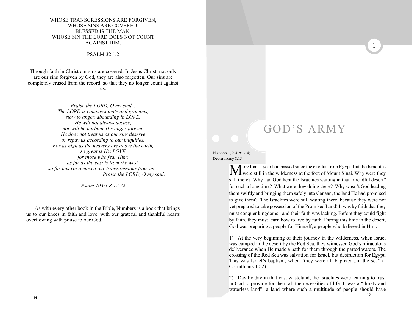WHOSE TRANSGRESSIONS ARE FORGIVEN, WHOSE SINS ARE COVERED. BLESSED IS THE MAN, WHOSE SIN THE LORD DOES NOT COUNT AGAINST HIM.

#### PSALM 32:1,2

Through faith in Christ our sins are covered. In Jesus Christ, not only are our sins forgiven by God, they are also forgotten. Our sins are completely erased from the record, so that they no longer count against us.

> *Praise the LORD, O my soul... The LORD is compassionate and gracious, slow to anger, abounding in LOVE. He will not always accuse, nor will he harbour His anger forever. He does not treat us as our sins deserve or repay us according to our iniquities. For as high as the heavens are above the earth, so great is His LOVE for those who fear Him; as far as the east is from the west, so far has He removed our transgressions from us... Praise the LORD, O my soul!*

> > *Psalm 103:1,8-12,22*

 As with every other book in the Bible, Numbers is a book that brings us to our knees in faith and love, with our grateful and thankful hearts overflowing with praise to our God.

### GOD'S ARMY

1 **L** 

#### **Numbers 1, 2 & 9:1-14;**

**Deuteronomy 8:15**

More than a year had passed since the exodus from Egypt, but the Israelites were still in the wilderness at the foot of Mount Sinai. Why were they still there? Why had God kept the Israelites waiting in that "dreadful desert" for such a long time? What were they doing there? Why wasn't God leading them swiftly and bringing them safely into Canaan, the land He had promised to give them? The Israelites were still waiting there, because they were not yet prepared to take possession of the Promised Land! It was by faith that they must conquer kingdoms - and their faith was lacking. Before they could fight by faith, they must learn how to live by faith. During this time in the desert, God was preparing a people for Himself, a people who believed in Him:

1) At the very beginning of their journey in the wilderness, when Israel was camped in the desert by the Red Sea, they witnessed God's miraculous deliverance when He made a path for them through the parted waters. The crossing of the Red Sea was salvation for Israel, but destruction for Egypt. This was Israel's baptism, when "they were all baptized...in the sea" (I Corinthians 10:2).

2) Day by day in that vast wasteland, the Israelites were learning to trust in God to provide for them all the necessities of life. It was a "thirsty and waterless land", a land where such a multitude of people should have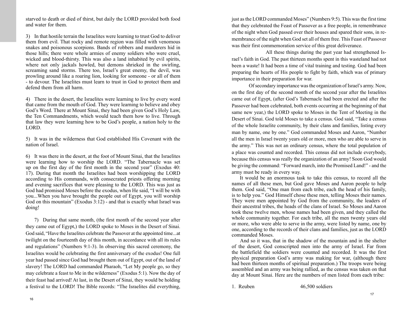starved to death or died of thirst, but daily the LORD provided both food and water for them.

3) In that hostile terrain the Israelites were learning to trust God to deliver them from evil. That rocky and remote region was filled with venomous snakes and poisonous scorpions. Bands of robbers and murderers hid in those hills; there were whole armies of enemy soldiers who were cruel, wicked and blood-thirsty. This was also a land inhabited by evil spirits, where not only jackals howled, but demons shrieked in the swirling. screaming sand storms. There too, Israel's great enemy, the devil, was prowling around like a roaring lion, looking for someone - or all of them - to devour. The Israelites must learn to trust in God to protect them and defend them from all harm.

4) There in the desert, the Israelites were learning to live by every word that came from the mouth of God. They were learning to believe and obey God's Word. There at Mount Sinai, they had been given God's Holy Law, the Ten Commandments, which would teach them how to live. Through that law they were learning how to be God's people, a nation holy to the LORD.

5) It was in the wilderness that God established His Covenant with the nation of Israel.

6) It was there in the desert, at the foot of Mount Sinai, that the Israelites were learning how to worship the LORD. "The Tabernacle was set up on the first day of the first month in the second year" (Exodus 40: 17). During that month the Israelites had been worshipping the LORD according to His commands, with consecrated priests offering morning and evening sacrifices that were pleasing to the LORD. This was just as God had promised Moses before the exodus, when He said, "I will be with you...When you have brought the people out of Egypt, you will worship God on this mountain" (Exodus 3:12) - and that is exactly what Israel was doing!

7) During that same month, (the first month of the second year after they came out of Egypt,) the LORD spoke to Moses in the Desert of Sinai. God said, "Have the Israelites celebrate the Passover at the appointed time...at twilight on the fourteenth day of this month, in accordance with all its rules and regulations" (Numbers 9:1-3). In observing this sacred ceremony, the Israelites would be celebrating the first anniversary of the exodus! One full year had passed since God had brought them out of Egypt, out of the land of slavery! The LORD had commanded Pharaoh, "Let My people go, so they may celebrate a feast to Me in the wilderness" (Exodus 5:1). Now the day of their feast had arrived! At last, in the Desert of Sinai, they would be holding a festival to the LORD! The Bible records: "The Israelites did everything,

just as the LORD commanded Moses" (Numbers 9:5). This was the first time that they celebrated the Feast of Passover as a free people, in remembrance of the night when God passed over their houses and spared their sons, in remembrance of the night when God set all of them free. This Feast of Passover was their first commemoration service of this great deliverance.

 All these things during the past year had strengthened Israel's faith in God. The past thirteen months spent in this wasteland had not been a waste! It had been a time of vital training and testing. God had been preparing the hearts of His people to fight by faith, which was of primary importance in their preparation for war.

Of secondary importance was the organization of Israel's army. Now, on the first day of the second month of the second year after the Israelites came out of Egypt, (after God's Tabernacle had been erected and after the Passover had been celebrated, both events occurring at the beginning of that same new year,) the LORD spoke to Moses in the Tent of Meeting in the Desert of Sinai. God told Moses to take a census. God said, "Take a census of the whole Israelite community, by their clans and families, listing every man by name, one by one." God commanded Moses and Aaron, "Number all the men in Israel twenty years old or more, men who are able to serve in the army." This was not an ordinary census, where the total population of a place was counted and recorded. This census did not include everybody, because this census was really the organization of an army! Soon God would be giving the command: "Forward march, into the Promised Land!" - and the army must be ready in every way.

 It would be an enormous task to take this census, to record all the names of all these men, but God gave Moses and Aaron people to help them. God said, "One man from each tribe, each the head of his family, is to help you." God Himself chose these men, telling Moses their names. They were men appointed by God from the community, the leaders of their ancestral tribes, the heads of the clans of Israel. So Moses and Aaron took these twelve men, whose names had been given, and they called the whole community together. For each tribe, all the men twenty vears old or more, who were able to serve in the army, were listed by name, one by one, according to the records of their clans and families, just as the LORD commanded Moses.

 And so it was, that in the shadow of the mountain and in the shelter of the desert, God conscripted men into the army of Israel. Far from the battlefield the soldiers were counted and recorded. It was the first physical preparation God's army was making for war, (although there had been thirteen months of spiritual preparation.) The troops were being assembled and an army was being rallied, as the census was taken on that day at Mount Sinai. Here are the numbers of men listed from each tribe:

1. Reuben 46,500 soldiers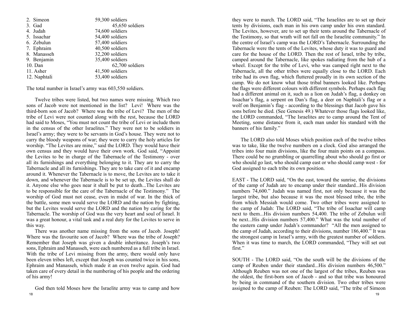| 2. Simeon    | 59,300 soldiers |
|--------------|-----------------|
| 3. Gad       | 45,650 soldiers |
| 4. Judah     | 74,600 soldiers |
| 5. Issachar  | 54,400 soldiers |
| 6. Zebulun   | 57,400 soldiers |
| 7. Ephraim   | 40,500 soldiers |
| 8. Manasseh  | 32,200 soldiers |
| 9. Benjamin  | 35,400 soldiers |
| 10. Dan      | 62,700 soldiers |
| 11. Asher    | 41,500 soldiers |
| 12. Naphtali | 53,400 soldiers |
|              |                 |

The total number in Israel's army was 603,550 soldiers.

 Twelve tribes were listed, but two names were missing. Which two sons of Jacob were not mentioned in the list? Levi! Where was the third-born son of Jacob? Where was the tribe of Levi? The men of the tribe of Levi were not counted along with the rest, because the LORD had said to Moses, "You must not count the tribe of Levi or include them in the census of the other Israelites." They were not to be soldiers in Israel's army; they were to be servants in God's house. They were not to carry the bloody weapons of war; they were to carry the holy articles for worship. "The Levites are mine," said the LORD. They would have their own census and they would have their own work. God said, "Appoint the Levites to be in charge of the Tabernacle of the Testimony - over all its furnishings and everything belonging to it. They are to carry the Tabernacle and all its furnishings. They are to take care of it and encamp around it. Whenever the Tabernacle is to move, the Levites are to take it down, and whenever the Tabernacle is to be set up, the Levites shall do it. Anyone else who goes near it shall be put to death...The Levites are to be responsible for the care of the Tabernacle of the Testimony." The worship of God must not cease, even in midst of war. In the thick of the battle, some men would serve the LORD and the nation by fighting, but the Levites would serve the LORD and the nation by caring for the Tabernacle. The worship of God was the very heart and soul of Israel. It was a great honour, a vital task and a real duty for the Levites to serve in this way.

 There was another name missing from the sons of Jacob. Joseph! Where was the favourite son of Jacob? Where was the tribe of Joseph? Remember that Joseph was given a double inheritance. Joseph's two sons, Ephraim and Manasseh, were each numbered as a full tribe in Israel. With the tribe of Levi missing from the army, there would only have been eleven tribes left, except that Joseph was counted twice in his sons, Ephraim and Manasseh, which made it an even twelve again. God had taken care of every detail in the numbering of his people and the ordering of his army!

God then told Moses how the Israelite army was to camp and how

they were to march. The LORD said, "The Israelites are to set up their tents by divisions, each man in his own camp under his own standard. The Levites, however, are to set up their tents around the Tabernacle of the Testimony, so that wrath will not fall on the Israelite community." In the centre of Israel's camp was the LORD's Tabernacle. Surrounding the Tabernacle were the tents of the Levites, whose duty it was to guard and care for the house of the LORD. Then the rest of Israel, tribe by tribe, camped around the Tabernacle, like spokes radiating from the hub of a wheel. Except for the tribe of Levi, who was camped right next to the Tabernacle, all the other tribes were equally close to the LORD. Each tribe had its own flag, which fluttered proudly in its own section of the camp. We do not know what those tribal banners looked like. Perhaps the flags were different colours with different symbols. Perhaps each flag had a different animal on it, such as a lion on Judah's flag, a donkey on Issachar's flag, a serpent on Dan's flag, a deer on Naphtali's flag or a wolf on Benjamin's flag - according to the blessings that Jacob gave his sons before he died. (See Genesis 49.) Whatever those flags looked like, the LORD commanded, "The Israelites are to camp around the Tent of Meeting, some distance from it, each man under his standard with the banners of his family."

 The LORD also told Moses which position each of the twelve tribes was to take, like the twelve numbers on a clock. God also arranged the tribes into four main divisions, like the four main points on a compass. There could be no grumbling or quarrelling about who should go first or who should go last, who should camp east or who should camp west - for God assigned to each tribe its own position.

EAST - The LORD said, "On the east, toward the sunrise, the divisions of the camp of Judah are to encamp under their standard...His division numbers 74,600." Judah was named first, not only because it was the largest tribe, but also because it was the most blessed tribe, the tribe from which Messiah would come. Two other tribes were assigned to the camp of Judah: The LORD said, "The tribe of Issachar will camp next to them...His division numbers 54,400. The tribe of Zebulun will be next...His division numbers 57,400." What was the total number of the eastern camp under Judah's commander? "All the men assigned to the camp of Judah, according to their divisions, number 186,400." It was the strongest camp in Israel's army, with the greatest number of soldiers. When it was time to march, the LORD commanded, "They will set out first."

SOUTH - The LORD said, "On the south will be the divisions of the camp of Reuben under their standard...His division numbers 46,500." Although Reuben was not one of the largest of the tribes, Reuben was the oldest, the first-born son of Jacob - and so that tribe was honoured by being in command of the southern division. Two other tribes were assigned to the camp of Reuben: The LORD said, "The tribe of Simeon